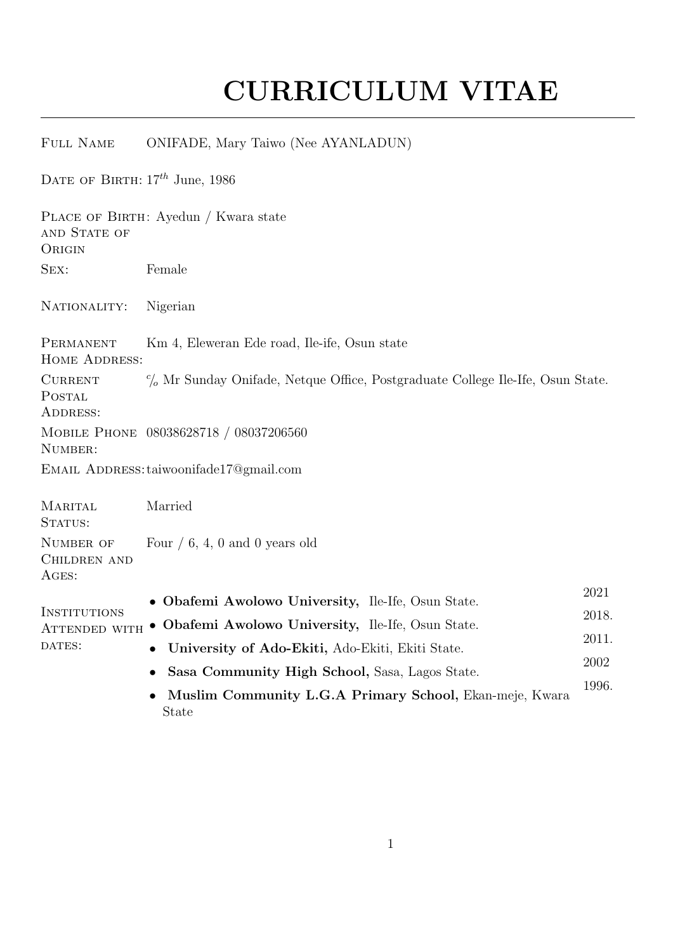## CURRICULUM VITAE

## Full Name ONIFADE, Mary Taiwo (Nee AYANLADUN)

DATE OF BIRTH:  $17^{th}$  June, 1986

PLACE OF BIRTH: Ayedun / Kwara state **AND STATE OF ORIGIN** Sex: Female NATIONALITY: Nigerian **PERMANENT** HOME ADDRESS: Km 4, Eleweran Ede road, Ile-ife, Osun state **CURRENT** POSTAL ADDRESS:  $c_0$  Mr Sunday Onifade, Netque Office, Postgraduate College Ile-Ife, Osun State. Mobile Phone 08038628718 / 08037206560 NUMBER: EMAIL ADDRESS: taiwoonifade17@gmail.com **MARITAL** STATUS: Married NUMBER OF CHILDREN AND Ages: Four  $/ 6$ , 4, 0 and 0 years old **INSTITUTIONS** INSTITUTIONS<br>Attended with • Obafemi Awolowo University, Ile-Ife, Osun State. 2018. DATES: • Obafemi Awolowo University, Ile-Ife, Osun State.  $2021$  2018. • University of Ado-Ekiti, Ado-Ekiti, Ekiti State. 2011. • Sasa Community High School, Sasa, Lagos State. <sup>2002</sup> • Muslim Community L.G.A Primary School, Ekan-meje, Kwara State 1996.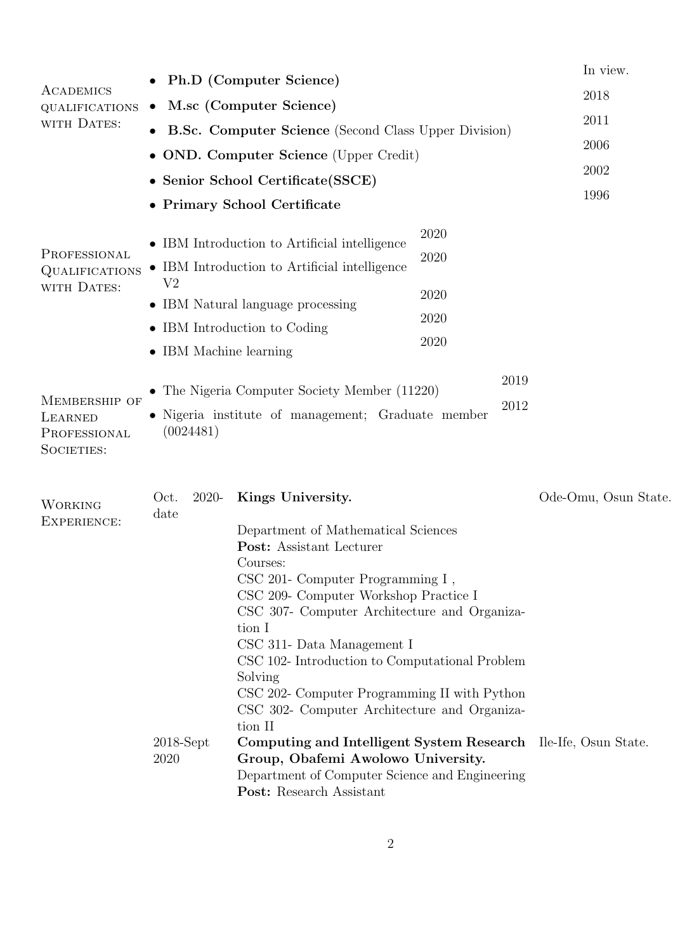| ACADEMICS<br><b>QUALIFICATIONS</b><br>WITH DATES:      | $\bullet$                                                                                                                                                                                                                                                                                                                                                                                                                                                                                                                                                           | Ph.D (Computer Science)<br>M.sc (Computer Science)<br><b>B.Sc. Computer Science</b> (Second Class Upper Division)<br>• OND. Computer Science (Upper Credit)<br>• Senior School Certificate (SSCE)<br>• Primary School Certificate |                                      | In view.<br>2018<br>2011<br>2006<br>2002<br>1996 |  |
|--------------------------------------------------------|---------------------------------------------------------------------------------------------------------------------------------------------------------------------------------------------------------------------------------------------------------------------------------------------------------------------------------------------------------------------------------------------------------------------------------------------------------------------------------------------------------------------------------------------------------------------|-----------------------------------------------------------------------------------------------------------------------------------------------------------------------------------------------------------------------------------|--------------------------------------|--------------------------------------------------|--|
| PROFESSIONAL<br>QUALIFICATIONS<br>WITH DATES:          | V <sub>2</sub><br>• IBM Machine learning                                                                                                                                                                                                                                                                                                                                                                                                                                                                                                                            | $\bullet$ IBM Introduction to Artificial intelligence<br>• IBM Introduction to Artificial intelligence<br>• IBM Natural language processing<br>• IBM Introduction to Coding                                                       | 2020<br>2020<br>2020<br>2020<br>2020 |                                                  |  |
| MEMBERSHIP OF<br>LEARNED<br>PROFESSIONAL<br>SOCIETIES: | 2019<br>The Nigeria Computer Society Member (11220)<br>$\bullet$<br>2012<br>• Nigeria institute of management; Graduate member<br>(0024481)                                                                                                                                                                                                                                                                                                                                                                                                                         |                                                                                                                                                                                                                                   |                                      |                                                  |  |
| <b>WORKING</b><br>EXPERIENCE:                          | Kings University.<br>Oct.<br>2020-<br>date<br>Department of Mathematical Sciences<br>Post: Assistant Lecturer<br>Courses:<br>$\text{CSC } 201$ - Computer Programming I,<br>CSC 209- Computer Workshop Practice I<br>CSC 307- Computer Architecture and Organiza-<br>tion I<br>CSC 311- Data Management I<br>CSC 102- Introduction to Computational Problem<br>Solving<br>CSC 202- Computer Programming II with Python<br>CSC 302- Computer Architecture and Organiza-<br>tion II<br>$2018$ -Sept<br>Computing and Intelligent System Research Ile-Ife, Osun State. |                                                                                                                                                                                                                                   |                                      | Ode-Omu, Osun State.                             |  |
|                                                        | 2020                                                                                                                                                                                                                                                                                                                                                                                                                                                                                                                                                                | Group, Obafemi Awolowo University.<br>Department of Computer Science and Engineering<br>Post: Research Assistant                                                                                                                  |                                      |                                                  |  |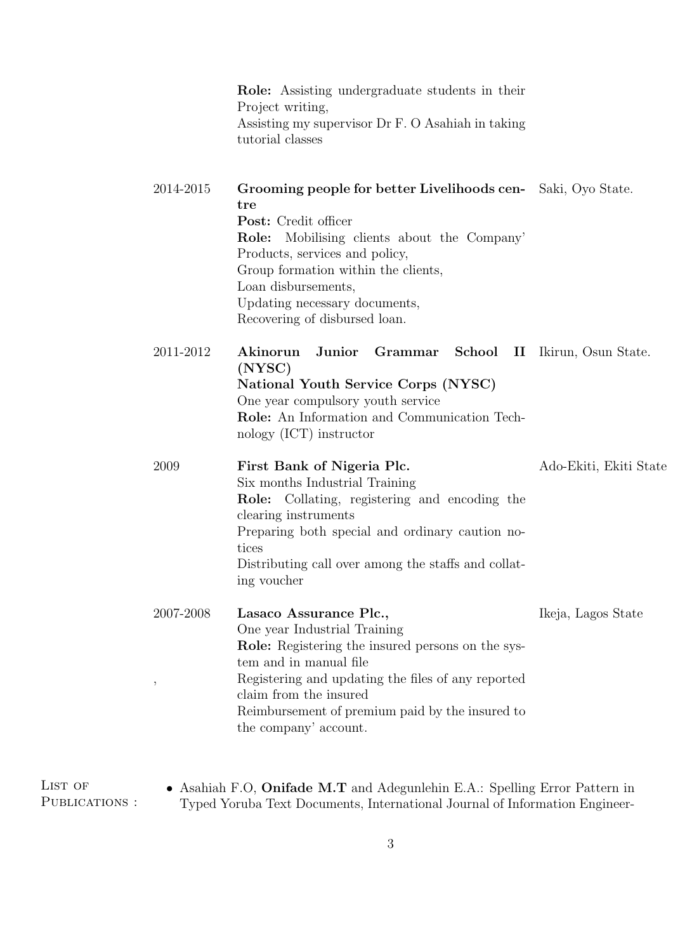|                   | <b>Role:</b> Assisting undergraduate students in their<br>Project writing,<br>Assisting my supervisor Dr F. O Asahiah in taking<br>tutorial classes                                                                                                                                                             |                        |
|-------------------|-----------------------------------------------------------------------------------------------------------------------------------------------------------------------------------------------------------------------------------------------------------------------------------------------------------------|------------------------|
| 2014-2015         | Grooming people for better Livelihoods cen-<br>Saki, Oyo State.<br>tre<br>Post: Credit officer<br>Role: Mobilising clients about the Company'<br>Products, services and policy,<br>Group formation within the clients,<br>Loan disbursements,<br>Updating necessary documents,<br>Recovering of disbursed loan. |                        |
| 2011-2012         | Akinorun<br>Junior<br>Grammar School II Ikirun, Osun State.<br>(NYSC)<br>National Youth Service Corps (NYSC)<br>One year compulsory youth service<br>Role: An Information and Communication Tech-<br>nology (ICT) instructor                                                                                    |                        |
| 2009              | First Bank of Nigeria Plc.<br>Six months Industrial Training<br><b>Role:</b> Collating, registering and encoding the<br>clearing instruments<br>Preparing both special and ordinary caution no-<br>tices<br>Distributing call over among the staffs and collat-<br>ing voucher                                  | Ado-Ekiti, Ekiti State |
| 2007-2008<br>$\,$ | Lasaco Assurance Plc.,<br>One year Industrial Training<br>Role: Registering the insured persons on the sys-<br>tem and in manual file<br>Registering and updating the files of any reported<br>claim from the insured<br>Reimbursement of premium paid by the insured to<br>the company' account.               | Ikeja, Lagos State     |

LIST OF PUBLICATIONS :

• Asahiah F.O, Onifade M.T and Adegunlehin E.A.: Spelling Error Pattern in Typed Yoruba Text Documents, International Journal of Information Engineer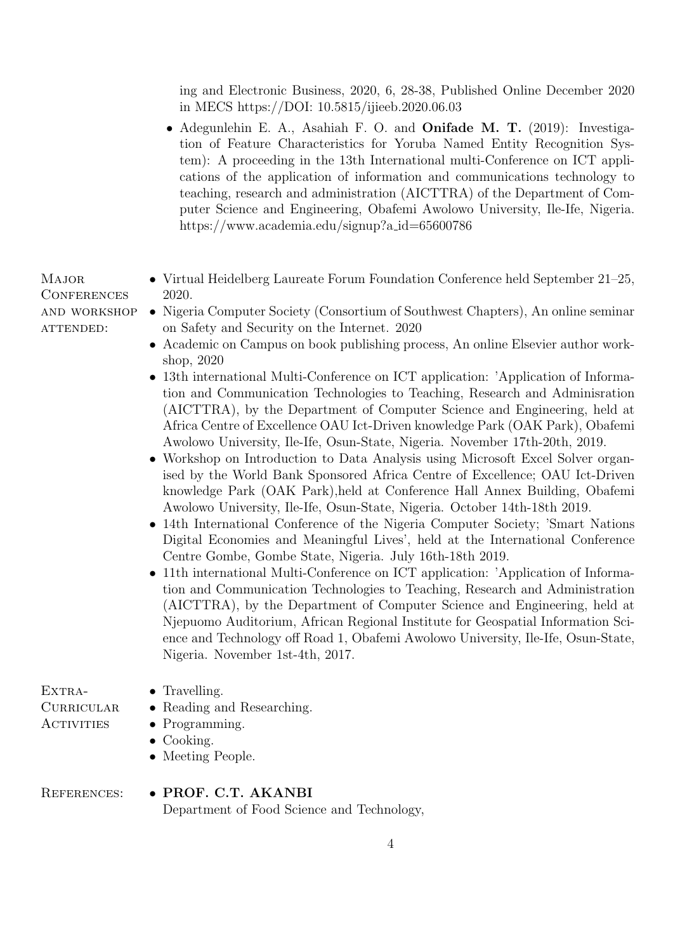ing and Electronic Business, 2020, 6, 28-38, Published Online December 2020 in MECS https://DOI: 10.5815/ijieeb.2020.06.03

• Adegunlehin E. A., Asahiah F. O. and Onifade M. T. (2019): Investigation of Feature Characteristics for Yoruba Named Entity Recognition System): A proceeding in the 13th International multi-Conference on ICT applications of the application of information and communications technology to teaching, research and administration (AICTTRA) of the Department of Computer Science and Engineering, Obafemi Awolowo University, Ile-Ife, Nigeria. https://www.academia.edu/signup?a id=65600786

• Virtual Heidelberg Laureate Forum Foundation Conference held September 21–25,

| <b>CONFERENCES</b> | 2020.                                                                                                                                                                                                                                                                                                                                                                                                                                                                                                                                                                                                                                                                                                                                                                                                                                                                                                                                                                                                                                                                                                                                                                                                                                                                                                                                                                                                                                     |  |  |  |  |
|--------------------|-------------------------------------------------------------------------------------------------------------------------------------------------------------------------------------------------------------------------------------------------------------------------------------------------------------------------------------------------------------------------------------------------------------------------------------------------------------------------------------------------------------------------------------------------------------------------------------------------------------------------------------------------------------------------------------------------------------------------------------------------------------------------------------------------------------------------------------------------------------------------------------------------------------------------------------------------------------------------------------------------------------------------------------------------------------------------------------------------------------------------------------------------------------------------------------------------------------------------------------------------------------------------------------------------------------------------------------------------------------------------------------------------------------------------------------------|--|--|--|--|
| AND WORKSHOP       | • Nigeria Computer Society (Consortium of Southwest Chapters), An online seminar                                                                                                                                                                                                                                                                                                                                                                                                                                                                                                                                                                                                                                                                                                                                                                                                                                                                                                                                                                                                                                                                                                                                                                                                                                                                                                                                                          |  |  |  |  |
| ATTENDED:          | on Safety and Security on the Internet. 2020                                                                                                                                                                                                                                                                                                                                                                                                                                                                                                                                                                                                                                                                                                                                                                                                                                                                                                                                                                                                                                                                                                                                                                                                                                                                                                                                                                                              |  |  |  |  |
|                    | • Academic on Campus on book publishing process, An online Elsevier author work-                                                                                                                                                                                                                                                                                                                                                                                                                                                                                                                                                                                                                                                                                                                                                                                                                                                                                                                                                                                                                                                                                                                                                                                                                                                                                                                                                          |  |  |  |  |
|                    | shop, 2020                                                                                                                                                                                                                                                                                                                                                                                                                                                                                                                                                                                                                                                                                                                                                                                                                                                                                                                                                                                                                                                                                                                                                                                                                                                                                                                                                                                                                                |  |  |  |  |
|                    | 13th international Multi-Conference on ICT application: 'Application of Informa-<br>tion and Communication Technologies to Teaching, Research and Administration<br>(AICTTRA), by the Department of Computer Science and Engineering, held at<br>Africa Centre of Excellence OAU Ict-Driven knowledge Park (OAK Park), Obafemi<br>Awolowo University, Ile-Ife, Osun-State, Nigeria. November 17th-20th, 2019.<br>• Workshop on Introduction to Data Analysis using Microsoft Excel Solver organ-<br>ised by the World Bank Sponsored Africa Centre of Excellence; OAU Ict-Driven<br>knowledge Park (OAK Park), held at Conference Hall Annex Building, Obafemi<br>Awolowo University, Ile-Ife, Osun-State, Nigeria. October 14th-18th 2019.<br>• 14th International Conference of the Nigeria Computer Society; 'Smart Nations<br>Digital Economies and Meaningful Lives', held at the International Conference<br>Centre Gombe, Gombe State, Nigeria. July 16th-18th 2019.<br>• 11th international Multi-Conference on ICT application: 'Application of Informa-<br>tion and Communication Technologies to Teaching, Research and Administration<br>(AICTTRA), by the Department of Computer Science and Engineering, held at<br>Njepuomo Auditorium, African Regional Institute for Geospatial Information Sci-<br>ence and Technology off Road 1, Obafemi Awolowo University, Ile-Ife, Osun-State,<br>Nigeria. November 1st-4th, 2017. |  |  |  |  |
| EXTRA-             | $\bullet$ Travelling.                                                                                                                                                                                                                                                                                                                                                                                                                                                                                                                                                                                                                                                                                                                                                                                                                                                                                                                                                                                                                                                                                                                                                                                                                                                                                                                                                                                                                     |  |  |  |  |
| <b>CURRICULAR</b>  | • Reading and Researching.                                                                                                                                                                                                                                                                                                                                                                                                                                                                                                                                                                                                                                                                                                                                                                                                                                                                                                                                                                                                                                                                                                                                                                                                                                                                                                                                                                                                                |  |  |  |  |
| <b>ACTIVITIES</b>  | $\bullet$ Programming.                                                                                                                                                                                                                                                                                                                                                                                                                                                                                                                                                                                                                                                                                                                                                                                                                                                                                                                                                                                                                                                                                                                                                                                                                                                                                                                                                                                                                    |  |  |  |  |
|                    | $\bullet$ Cooking.                                                                                                                                                                                                                                                                                                                                                                                                                                                                                                                                                                                                                                                                                                                                                                                                                                                                                                                                                                                                                                                                                                                                                                                                                                                                                                                                                                                                                        |  |  |  |  |
|                    | • Meeting People.                                                                                                                                                                                                                                                                                                                                                                                                                                                                                                                                                                                                                                                                                                                                                                                                                                                                                                                                                                                                                                                                                                                                                                                                                                                                                                                                                                                                                         |  |  |  |  |
| REFERENCES:        | · PROF. C.T. AKANBI                                                                                                                                                                                                                                                                                                                                                                                                                                                                                                                                                                                                                                                                                                                                                                                                                                                                                                                                                                                                                                                                                                                                                                                                                                                                                                                                                                                                                       |  |  |  |  |

Major

Department of Food Science and Technology,